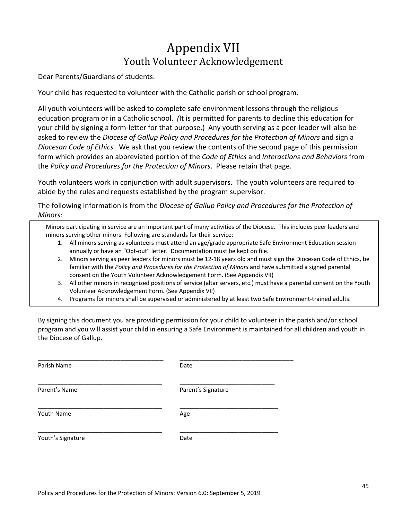# Appendix VII Youth Volunteer Acknowledgement

Dear Parents/Guardians of students:

Your child has requested to volunteer with the Catholic parish or school program.

All youth volunteers will be asked to complete safe environment lessons through the religious education program or in a Catholic school. *(*It is permitted for parents to decline this education for your child by signing a form-letter for that purpose.) Any youth serving as a peer-leader will also be asked to review the *Diocese of Gallup Policy and Procedures for the Protection of Minors* and sign a *Diocesan Code of Ethics.* We ask that you review the contents of the second page of this permission form which provides an abbreviated portion of the *Code of Ethics* and *Interactions and Behaviors* from the *Policy and Procedures for the Protection of Minors*. Please retain that page.

Youth volunteers work in conjunction with adult supervisors. The youth volunteers are required to abide by the rules and requests established by the program supervisor.

The following information is from the *Diocese of Gallup Policy and Procedures for the Protection of Minors:*

Minors participating in service are an important part of many activities of the Diocese. This includes peer leaders and minors serving other minors. Following are standards for their service:

- 1. All minors serving as volunteers must attend an age/grade appropriate Safe Environment Education session annually or have an "Opt-out" letter. Documentation must be kept on file.
- 2. Minors serving as peer leaders for minors must be 12-18 years old and must sign the Diocesan Code of Ethics, be familiar with the *Policy and Procedures for the Protection of Minors* and have submitted a signed parental consent on the Youth Volunteer Acknowledgement Form. (See Appendix VII)
- 3. All other minors in recognized positions of service (altar servers, etc.) must have a parental consent on the Youth Volunteer Acknowledgement Form. (See Appendix VII)
- 4. Programs for minors shall be supervised or administered by at least two Safe Environment-trained adults.

By signing this document you are providing permission for your child to volunteer in the parish and/or school program and you will assist your child in ensuring a Safe Environment is maintained for all children and youth in the Diocese of Gallup.

| Parish Name       | Date               |
|-------------------|--------------------|
| Parent's Name     | Parent's Signature |
| Youth Name        | Age                |
| Youth's Signature | Date               |